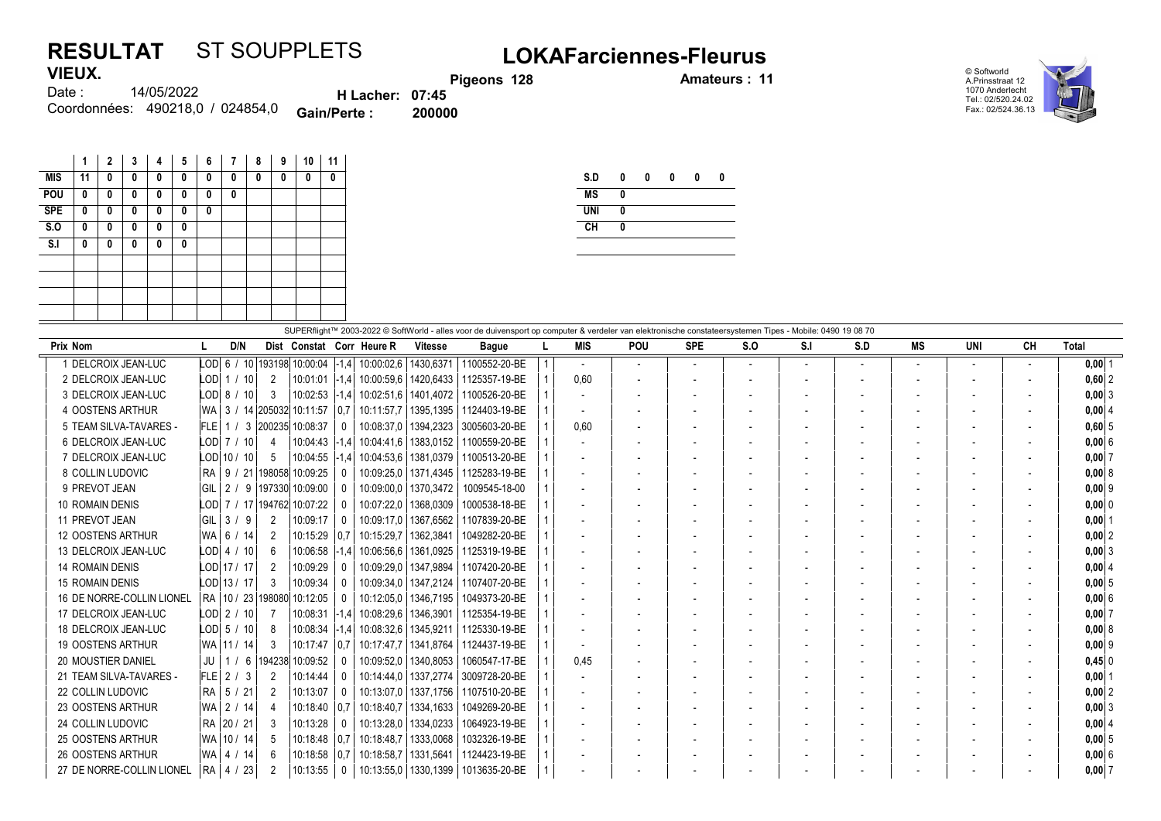## RESULTAT ST SOUPPLETS LOKAFarciennes-Fleurus VIEUX.

Pigeons 128 **Amateurs : 11** 





14/05/2022 Coordonnées: 490218,0 / 024854,0 **Gain/Perte : 200000** Date : H Lacher: 07:45<br>Perte : 200000

|            | 1  | $\mathbf{2}$ | 3 | 4 | 5 | 6 | $\overline{1}$ | 8 | 9 | 10 | 11 |
|------------|----|--------------|---|---|---|---|----------------|---|---|----|----|
| <b>MIS</b> | 11 | 0            | 0 | 0 | 0 | 0 | 0              | 0 | 0 | 0  | 0  |
| POU        | 0  | 0            | 0 | 0 | 0 | 0 | 0              |   |   |    |    |
| <b>SPE</b> | 0  | 0            | 0 | 0 | 0 | 0 |                |   |   |    |    |
| S.0        | 0  | 0            | 0 | 0 | 0 |   |                |   |   |    |    |
| S.I        | 0  | 0            | 0 | 0 | 0 |   |                |   |   |    |    |
|            |    |              |   |   |   |   |                |   |   |    |    |
|            |    |              |   |   |   |   |                |   |   |    |    |
|            |    |              |   |   |   |   |                |   |   |    |    |
|            |    |              |   |   |   |   |                |   |   |    |    |

| S.D        | 0 | 0 | 0 | 0 | 0 |
|------------|---|---|---|---|---|
| <b>MS</b>  | 0 |   |   |   |   |
| <b>UNI</b> | 0 |   |   |   |   |
| CH         | 0 |   |   |   |   |
|            |   |   |   |   |   |

| SUPERflight™ 2003-2022 © SoftWorld - alles voor de duivensport op computer & verdeler van elektronische constateersystemen Tipes - Mobile: 0490 19 08 70 |  |                  |                |                                                 |                |                           |                        |                                         |  |      |            |                          |                          |                |     |    |     |    |              |
|----------------------------------------------------------------------------------------------------------------------------------------------------------|--|------------------|----------------|-------------------------------------------------|----------------|---------------------------|------------------------|-----------------------------------------|--|------|------------|--------------------------|--------------------------|----------------|-----|----|-----|----|--------------|
| Prix Nom                                                                                                                                                 |  | D/N              |                |                                                 |                | Dist Constat Corr Heure R | <b>Vitesse</b>         | <b>Bague</b>                            |  | MIS  | <b>POU</b> | <b>SPE</b>               | S.O                      | S.I            | S.D | МS | UNI | CН | <b>Total</b> |
| DELCROIX JEAN-LUC                                                                                                                                        |  |                  |                | LOD 6 / 10 193198 10:00:04 $\vert$ -1.4 $\vert$ |                | 10:00:02.6   1430.6371    |                        | 1100552-20-BE                           |  |      |            |                          | $\overline{a}$           | $\overline{a}$ |     |    |     |    | $0,00$ 1     |
| 2 DELCROIX JEAN-LUC                                                                                                                                      |  | $LOD$   1 / 10   | -2             | $10:01:01$ $-1.4$                               |                | 10:00:59.6   1420.6433    |                        | 1125357-19-BE                           |  | 0.60 |            |                          |                          |                |     |    |     |    | $0.60$   2   |
| 3 DELCROIX JEAN-LUC                                                                                                                                      |  | $LOD2$ 8 / 10    | -3             | $10:02:53$ -1.4                                 |                | 10:02:51.6   1401.4072    |                        | 1100526-20-BE                           |  |      |            |                          |                          |                |     |    |     |    | $0.00$ 3     |
| 4 OOSTENS ARTHUR                                                                                                                                         |  |                  |                | WA 3 / 14 205032 10:11:57 0.7                   |                |                           | 10:11:57.7   1395.1395 | 1124403-19-BE                           |  |      |            |                          |                          |                |     |    |     |    | 0.0014       |
| 5 TEAM SILVA-TAVARES -                                                                                                                                   |  |                  |                | FLE 1 / 3 200235 10:08:37                       | $\mathbf{0}$   |                           | 10:08:37.0   1394.2323 | 3005603-20-BE                           |  | 0.60 |            | $\overline{\phantom{a}}$ | $\overline{\phantom{a}}$ |                |     |    |     |    | 0,60,5       |
| 6 DELCROIX JEAN-LUC                                                                                                                                      |  | LODI 7 / 10      |                | $10:04:43$ -1.4                                 |                | 10:04:41.6   1383.0152    |                        | 1100559-20-BE                           |  |      |            |                          |                          |                |     |    |     |    | 0,006        |
| 7 DELCROIX JEAN-LUC                                                                                                                                      |  | $LOD$   10 / 10  | -5             | $10:04:55$ -1.4                                 |                |                           | 10:04:53.6   1381.0379 | 1100513-20-BE                           |  |      |            |                          |                          |                |     |    |     |    | 0,007        |
| 8 COLLIN LUDOVIC                                                                                                                                         |  | RA   9 / 21      |                | 198058 10:09:25                                 |                |                           | 10:09:25.0   1371.4345 | 1125283-19-BE                           |  |      |            |                          |                          |                |     |    |     |    | 0.0018       |
| 9 PREVOT JEAN                                                                                                                                            |  |                  |                | GIL   2 / 9  197330  10:09:00                   | - 0            | 10:09:00.0   1370.3472    |                        | 1009545-18-00                           |  |      |            |                          |                          |                |     |    |     |    | $0.00$  9    |
| <b>10 ROMAIN DENIS</b>                                                                                                                                   |  |                  |                | LOD 7 / 17 194762 10:07:22                      |                |                           | 10:07:22.0   1368.0309 | 1000538-18-BE                           |  |      |            |                          |                          |                |     |    |     |    | $0,00$ 0     |
| 11 PREVOT JEAN                                                                                                                                           |  | GIL $3/9$        | 2              | 10:09:17                                        | $\Omega$       | 10:09:17.0   1367.6562    |                        | 1107839-20-BE                           |  |      |            |                          |                          |                |     |    |     |    | $0.00$   1   |
| <b>12 OOSTENS ARTHUR</b>                                                                                                                                 |  | WA 6 / 14        | $\overline{2}$ | 10:15:29 0.7                                    |                | 10:15:29.7   1362.3841    |                        | 1049282-20-BE                           |  |      |            |                          |                          |                |     |    |     |    | 0.00 2       |
| 13 DELCROIX JEAN-LUC                                                                                                                                     |  | $LOD$   4 $/$ 10 | - 6            | $10:06:58$  -1,4                                |                |                           | 10:06:56.6   1361.0925 | 1125319-19-BE                           |  |      |            |                          |                          |                |     |    |     |    | $0,00$ 3     |
| <b>14 ROMAIN DENIS</b>                                                                                                                                   |  | LOD 17 / 17      | -2             | 10:09:29                                        | - 0            | 10:09:29.0   1347.9894    |                        | 1107420-20-BE                           |  |      |            |                          |                          |                |     |    |     |    | 0.0014       |
| 15 ROMAIN DENIS                                                                                                                                          |  | $LOD$ 13 / 17    | -3             | 10:09:34                                        |                | 10:09:34.0   1347.2124    |                        | 1107407-20-BE                           |  |      |            |                          |                          |                |     |    |     |    | $0.00$ 5     |
| 16 DE NORRE-COLLIN LIONEL                                                                                                                                |  |                  |                | RA 10 / 23 198080 10:12:05                      | $\Omega$       |                           | 10:12:05.0   1346.7195 | 1049373-20-BE                           |  |      |            |                          |                          |                |     |    |     |    | $0.00$ 6     |
| 17 DELCROIX JEAN-LUC                                                                                                                                     |  | $LODI$ 2 / 10    |                | $10:08:31$ -1.4                                 |                | 10:08:29.6   1346.3901    |                        | 1125354-19-BE                           |  |      |            |                          |                          |                |     |    |     |    | 0,007        |
| 18 DELCROIX JEAN-LUC                                                                                                                                     |  | $LODI$ 5 / 10    | -8             | 10:08:34 -1.4                                   |                | 10:08:32.6   1345.9211    |                        | 1125330-19-BE                           |  |      |            |                          |                          |                |     |    |     |    | 0.0018       |
| <b>19 OOSTENS ARTHUR</b>                                                                                                                                 |  | WA 11 / 14       | -3             | 10:17:47   0.7                                  |                |                           | 10:17:47.7   1341.8764 | 1124437-19-BE                           |  |      |            |                          |                          |                |     |    |     |    | $0,00$ 9     |
| <b>20 MOUSTIER DANIEL</b>                                                                                                                                |  |                  |                | JU   1 / 6   194238   10:09:52                  |                |                           | 10:09:52.0   1340.8053 | 1060547-17-BE                           |  | 0,45 |            |                          |                          |                |     |    |     |    | 0.45 0       |
| 21 TEAM SILVA-TAVARES -                                                                                                                                  |  | $FLE$ 2 / 3      | 2              | 10:14:44                                        | $\Box$         |                           | 10:14:44.0   1337.2774 | 3009728-20-BE                           |  |      |            |                          |                          |                |     |    |     |    | $0.00$   1   |
| 22 COLLIN LUDOVIC                                                                                                                                        |  | RA 5 / 21        | -2             | 10:13:07                                        |                |                           | 10:13:07.0   1337.1756 | 1107510-20-BE                           |  |      |            |                          |                          |                |     |    |     |    | $0,00$ 2     |
| 23 OOSTENS ARTHUR                                                                                                                                        |  | WA 2 / 14        |                | $10:18:40$ 0.7                                  |                |                           | 10:18:40.7   1334.1633 | 1049269-20-BE                           |  |      |            |                          |                          |                |     |    |     |    | 0.0013       |
| 24 COLLIN LUDOVIC                                                                                                                                        |  | RA 20 / 21       | -3             | 10:13:28                                        | $\overline{0}$ |                           | 10:13:28.0   1334.0233 | 1064923-19-BE                           |  |      |            |                          |                          |                |     |    |     |    | 0,004        |
| 25 OOSTENS ARTHUR                                                                                                                                        |  | WA 10 / 14       | -5             | 10:18:48 0.7                                    |                | 10:18:48.7   1333.0068    |                        | 1032326-19-BE                           |  |      |            |                          |                          |                |     |    |     |    | $0,00$ 5     |
| 26 OOSTENS ARTHUR                                                                                                                                        |  | WA   4 / 14      | -6             | $10:18:58$ 0.7                                  |                |                           | 10:18:58.7   1331.5641 | 1124423-19-BE                           |  |      |            |                          |                          |                |     |    |     |    | 0,006        |
| 27 DE NORRE-COLLIN LIONEL                                                                                                                                |  | RA   4 / 23      |                | 10:13:55                                        | - 0            |                           |                        | 10:13:55,0   1330, 1399   1013635-20-BE |  |      |            |                          |                          |                |     |    |     |    | $0,00$ 7     |